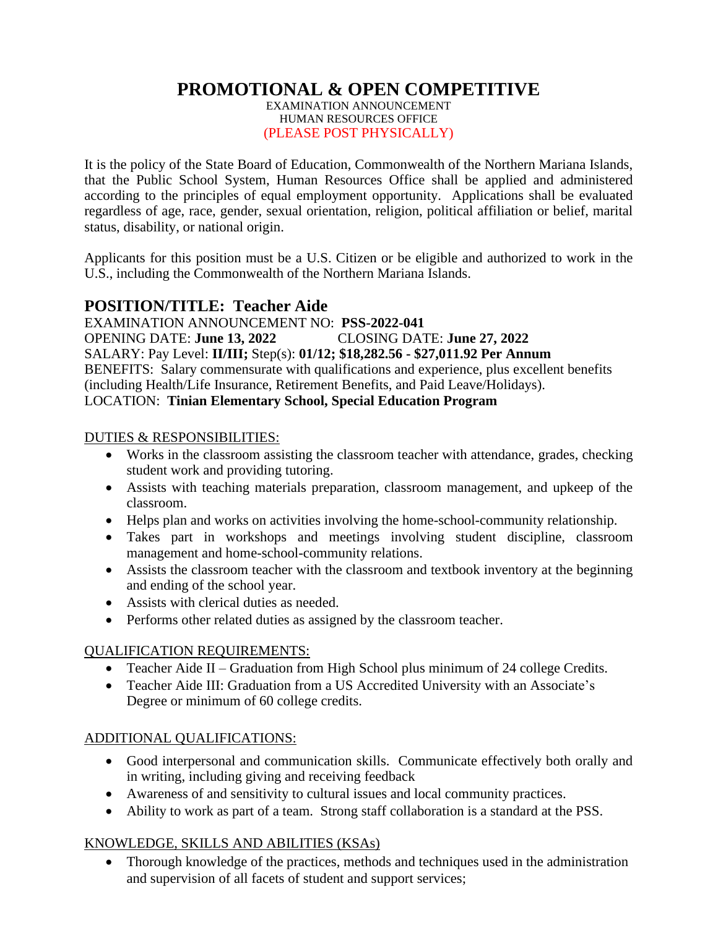# **PROMOTIONAL & OPEN COMPETITIVE**

EXAMINATION ANNOUNCEMENT HUMAN RESOURCES OFFICE (PLEASE POST PHYSICALLY)

It is the policy of the State Board of Education, Commonwealth of the Northern Mariana Islands, that the Public School System, Human Resources Office shall be applied and administered according to the principles of equal employment opportunity. Applications shall be evaluated regardless of age, race, gender, sexual orientation, religion, political affiliation or belief, marital status, disability, or national origin.

Applicants for this position must be a U.S. Citizen or be eligible and authorized to work in the U.S., including the Commonwealth of the Northern Mariana Islands.

# **POSITION/TITLE: Teacher Aide**

EXAMINATION ANNOUNCEMENT NO: **PSS-2022-041** OPENING DATE: **June 13, 2022** CLOSING DATE: **June 27, 2022** SALARY: Pay Level: **II/III;** Step(s): **01/12; \$18,282.56 - \$27,011.92 Per Annum** BENEFITS: Salary commensurate with qualifications and experience, plus excellent benefits (including Health/Life Insurance, Retirement Benefits, and Paid Leave/Holidays). LOCATION: **Tinian Elementary School, Special Education Program**

### DUTIES & RESPONSIBILITIES:

- Works in the classroom assisting the classroom teacher with attendance, grades, checking student work and providing tutoring.
- Assists with teaching materials preparation, classroom management, and upkeep of the classroom.
- Helps plan and works on activities involving the home-school-community relationship.
- Takes part in workshops and meetings involving student discipline, classroom management and home-school-community relations.
- Assists the classroom teacher with the classroom and textbook inventory at the beginning and ending of the school year.
- Assists with clerical duties as needed.
- Performs other related duties as assigned by the classroom teacher.

## QUALIFICATION REQUIREMENTS:

- Teacher Aide II Graduation from High School plus minimum of 24 college Credits.
- Teacher Aide III: Graduation from a US Accredited University with an Associate's Degree or minimum of 60 college credits.

## ADDITIONAL QUALIFICATIONS:

- Good interpersonal and communication skills. Communicate effectively both orally and in writing, including giving and receiving feedback
- Awareness of and sensitivity to cultural issues and local community practices.
- Ability to work as part of a team. Strong staff collaboration is a standard at the PSS.

# KNOWLEDGE, SKILLS AND ABILITIES (KSAs)

• Thorough knowledge of the practices, methods and techniques used in the administration and supervision of all facets of student and support services;